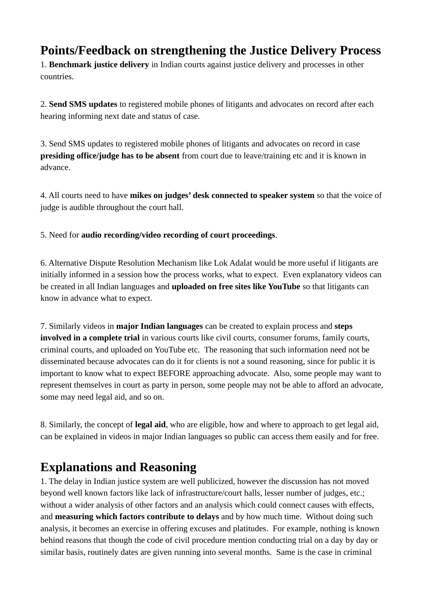## **Points/Feedback on strengthening the Justice Delivery Process**

1. **Benchmark justice delivery** in Indian courts against justice delivery and processes in other countries.

2. **Send SMS updates** to registered mobile phones of litigants and advocates on record after each hearing informing next date and status of case.

3. Send SMS updates to registered mobile phones of litigants and advocates on record in case **presiding office/judge has to be absent** from court due to leave/training etc and it is known in advance.

4. All courts need to have **mikes on judges' desk connected to speaker system** so that the voice of judge is audible throughout the court hall.

5. Need for **audio recording/video recording of court proceedings**.

6. Alternative Dispute Resolution Mechanism like Lok Adalat would be more useful if litigants are initially informed in a session how the process works, what to expect. Even explanatory videos can be created in all Indian languages and **uploaded on free sites like YouTube** so that litigants can know in advance what to expect.

7. Similarly videos in **major Indian languages** can be created to explain process and **steps involved in a complete trial** in various courts like civil courts, consumer forums, family courts, criminal courts, and uploaded on YouTube etc. The reasoning that such information need not be disseminated because advocates can do it for clients is not a sound reasoning, since for public it is important to know what to expect BEFORE approaching advocate. Also, some people may want to represent themselves in court as party in person, some people may not be able to afford an advocate, some may need legal aid, and so on.

8. Similarly, the concept of **legal aid**, who are eligible, how and where to approach to get legal aid, can be explained in videos in major Indian languages so public can access them easily and for free.

## **Explanations and Reasoning**

1. The delay in Indian justice system are well publicized, however the discussion has not moved beyond well known factors like lack of infrastructure/court halls, lesser number of judges, etc.; without a wider analysis of other factors and an analysis which could connect causes with effects, and **measuring which factors contribute to delays** and by how much time. Without doing such analysis, it becomes an exercise in offering excuses and platitudes. For example, nothing is known behind reasons that though the code of civil procedure mention conducting trial on a day by day or similar basis, routinely dates are given running into several months. Same is the case in criminal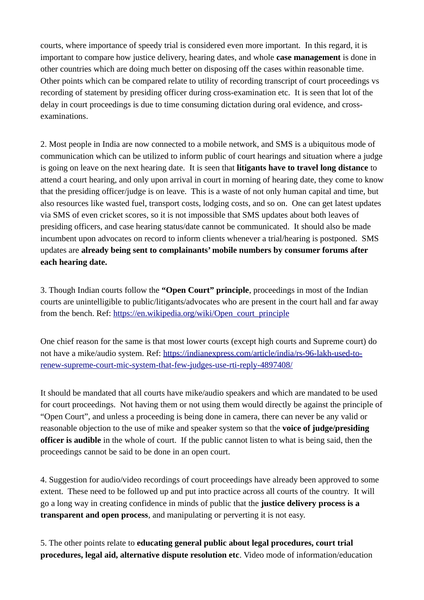courts, where importance of speedy trial is considered even more important. In this regard, it is important to compare how justice delivery, hearing dates, and whole **case management** is done in other countries which are doing much better on disposing off the cases within reasonable time. Other points which can be compared relate to utility of recording transcript of court proceedings vs recording of statement by presiding officer during cross-examination etc. It is seen that lot of the delay in court proceedings is due to time consuming dictation during oral evidence, and crossexaminations.

2. Most people in India are now connected to a mobile network, and SMS is a ubiquitous mode of communication which can be utilized to inform public of court hearings and situation where a judge is going on leave on the next hearing date. It is seen that **litigants have to travel long distance** to attend a court hearing, and only upon arrival in court in morning of hearing date, they come to know that the presiding officer/judge is on leave. This is a waste of not only human capital and time, but also resources like wasted fuel, transport costs, lodging costs, and so on. One can get latest updates via SMS of even cricket scores, so it is not impossible that SMS updates about both leaves of presiding officers, and case hearing status/date cannot be communicated. It should also be made incumbent upon advocates on record to inform clients whenever a trial/hearing is postponed. SMS updates are **already being sent to complainants' mobile numbers by consumer forums after each hearing date.**

3. Though Indian courts follow the **"Open Court" principle**, proceedings in most of the Indian courts are unintelligible to public/litigants/advocates who are present in the court hall and far away from the bench. Ref: [https://en.wikipedia.org/wiki/Open\\_court\\_principle](https://en.wikipedia.org/wiki/Open_court_principle)

One chief reason for the same is that most lower courts (except high courts and Supreme court) do not have a mike/audio system. Ref: [https://indianexpress.com/article/india/rs-96-lakh-used-to](https://indianexpress.com/article/india/rs-96-lakh-used-to-renew-supreme-court-mic-system-that-few-judges-use-rti-reply-4897408/)[renew-supreme-court-mic-system-that-few-judges-use-rti-reply-4897408/](https://indianexpress.com/article/india/rs-96-lakh-used-to-renew-supreme-court-mic-system-that-few-judges-use-rti-reply-4897408/)

It should be mandated that all courts have mike/audio speakers and which are mandated to be used for court proceedings. Not having them or not using them would directly be against the principle of "Open Court", and unless a proceeding is being done in camera, there can never be any valid or reasonable objection to the use of mike and speaker system so that the **voice of judge/presiding officer is audible** in the whole of court. If the public cannot listen to what is being said, then the proceedings cannot be said to be done in an open court.

4. Suggestion for audio/video recordings of court proceedings have already been approved to some extent. These need to be followed up and put into practice across all courts of the country. It will go a long way in creating confidence in minds of public that the **justice delivery process is a transparent and open process**, and manipulating or perverting it is not easy.

5. The other points relate to **educating general public about legal procedures, court trial procedures, legal aid, alternative dispute resolution etc**. Video mode of information/education